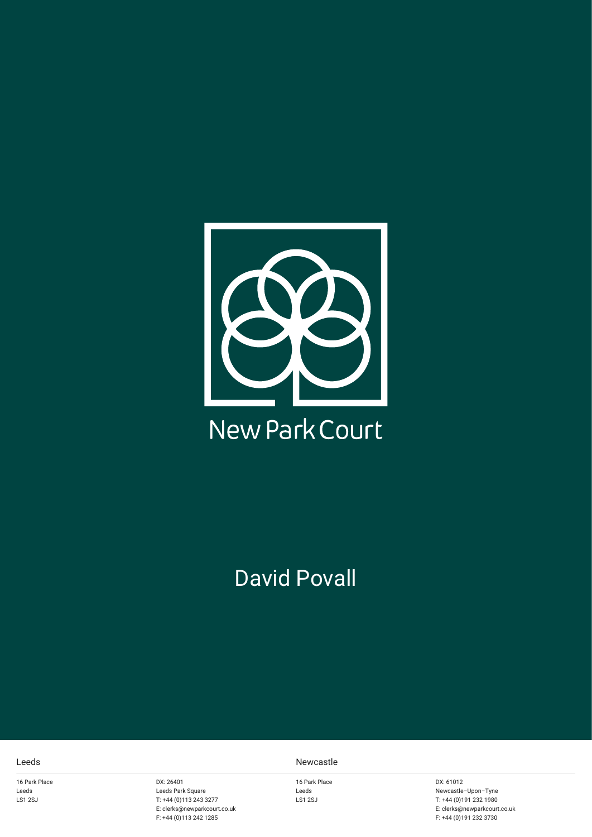

# David Povall

16 Park Place Leeds LS1 2SJ

DX: 26401 Leeds Park Square T: +44 (0)113 243 3277 E: clerks@newparkcourt.co.uk F: +44 (0)113 242 1285

#### Leeds Newcastle

16 Park Place Leeds LS1 2SJ

DX: 61012 Newcastle–Upon–Tyne T: +44 (0)191 232 1980 E: clerks@newparkcourt.co.uk F: +44 (0)191 232 3730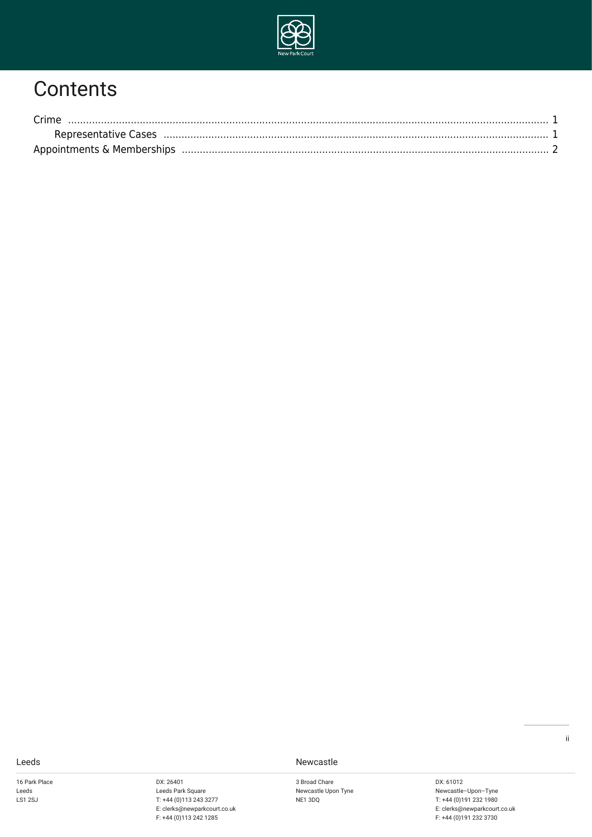

# **Contents**

| Crime                |  |
|----------------------|--|
| Representative Cases |  |
|                      |  |

16 Park Place Leeds LS1 2SJ

DX: 26401 Leeds Park Square T: +44 (0)113 243 3277 E: clerks@newparkcourt.co.uk F: +44 (0)113 242 1285

Leeds Newcastle

3 Broad Chare Newcastle Upon Tyne NE1 3DQ

DX: 61012 Newcastle–Upon–Tyne T: +44 (0)191 232 1980 E: clerks@newparkcourt.co.uk F: +44 (0)191 232 3730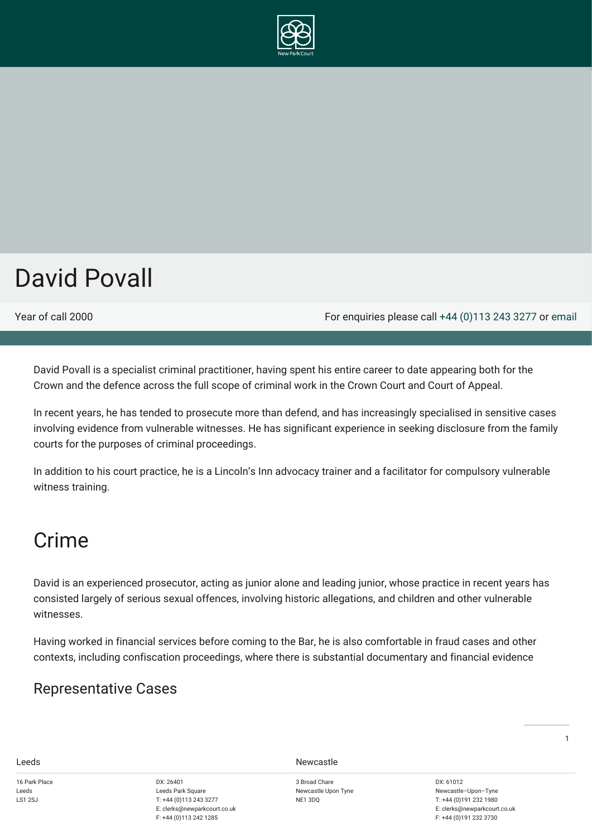

# David Povall

Year of call 2000 For enquiries please call [+44 \(0\)113 243 3277](#page--1-0) or [email](mailto:clerks@newparkcourt.co.uk?subject=feedback)

David Povall is a specialist criminal practitioner, having spent his entire career to date appearing both for the Crown and the defence across the full scope of criminal work in the Crown Court and Court of Appeal.

In recent years, he has tended to prosecute more than defend, and has increasingly specialised in sensitive cases involving evidence from vulnerable witnesses. He has significant experience in seeking disclosure from the family courts for the purposes of criminal proceedings.

In addition to his court practice, he is a Lincoln's Inn advocacy trainer and a facilitator for compulsory vulnerable witness training.

## <span id="page-2-0"></span>Crime

David is an experienced prosecutor, acting as junior alone and leading junior, whose practice in recent years has consisted largely of serious sexual offences, involving historic allegations, and children and other vulnerable witnesses.

Having worked in financial services before coming to the Bar, he is also comfortable in fraud cases and other contexts, including confiscation proceedings, where there is substantial documentary and financial evidence

## <span id="page-2-1"></span>Representative Cases

16 Park Place Leeds LS1 2S L

DX: 26401 Leeds Park Square T: +44 (0)113 243 3277 E: clerks@newparkcourt.co.uk F: +44 (0)113 242 1285

Leeds Newcastle

3 Broad Chare Newcastle Upon Tyne NE1 3DQ

DX: 61012 Newcastle–Upon–Tyne T: +44 (0)191 232 1980 E: clerks@newparkcourt.co.uk F: +44 (0)191 232 3730

1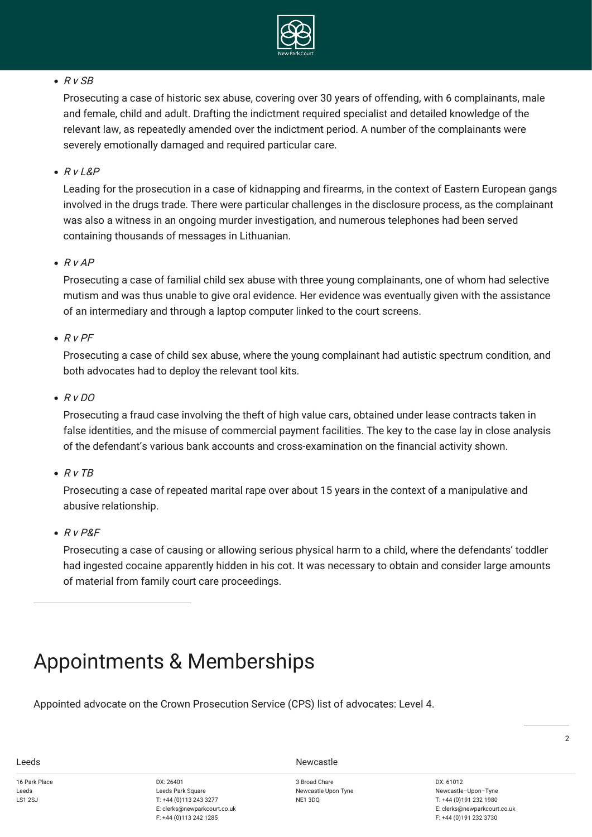

## $\bullet$  R v SB

Prosecuting a case of historic sex abuse, covering over 30 years of offending, with 6 complainants, male and female, child and adult. Drafting the indictment required specialist and detailed knowledge of the relevant law, as repeatedly amended over the indictment period. A number of the complainants were severely emotionally damaged and required particular care.

 $R V L&P$ 

Leading for the prosecution in a case of kidnapping and firearms, in the context of Eastern European gangs involved in the drugs trade. There were particular challenges in the disclosure process, as the complainant was also a witness in an ongoing murder investigation, and numerous telephones had been served containing thousands of messages in Lithuanian.

 $\bullet$  R v AP

Prosecuting a case of familial child sex abuse with three young complainants, one of whom had selective mutism and was thus unable to give oral evidence. Her evidence was eventually given with the assistance of an intermediary and through a laptop computer linked to the court screens.

## $R_V$  PF

Prosecuting a case of child sex abuse, where the young complainant had autistic spectrum condition, and both advocates had to deploy the relevant tool kits.

## $\bullet$  R v DO

Prosecuting a fraud case involving the theft of high value cars, obtained under lease contracts taken in false identities, and the misuse of commercial payment facilities. The key to the case lay in close analysis of the defendant's various bank accounts and cross-examination on the financial activity shown.

 $\bullet$  R v TB

Prosecuting a case of repeated marital rape over about 15 years in the context of a manipulative and abusive relationship.

 $R_V PRF$ 

Prosecuting a case of causing or allowing serious physical harm to a child, where the defendants' toddler had ingested cocaine apparently hidden in his cot. It was necessary to obtain and consider large amounts of material from family court care proceedings.

# <span id="page-3-0"></span>Appointments & Memberships

Appointed advocate on the Crown Prosecution Service (CPS) list of advocates: Level 4.

16 Park Place Leeds LS1 2S L

DX: 26401 Leeds Park Square T: +44 (0)113 243 3277 E: clerks@newparkcourt.co.uk F: +44 (0)113 242 1285

Leeds Newcastle

3 Broad Chare Newcastle Upon Tyne NE1 3DQ

DX: 61012 Newcastle–Upon–Tyne T: +44 (0)191 232 1980 E: clerks@newparkcourt.co.uk F: +44 (0)191 232 3730

 $\overline{2}$